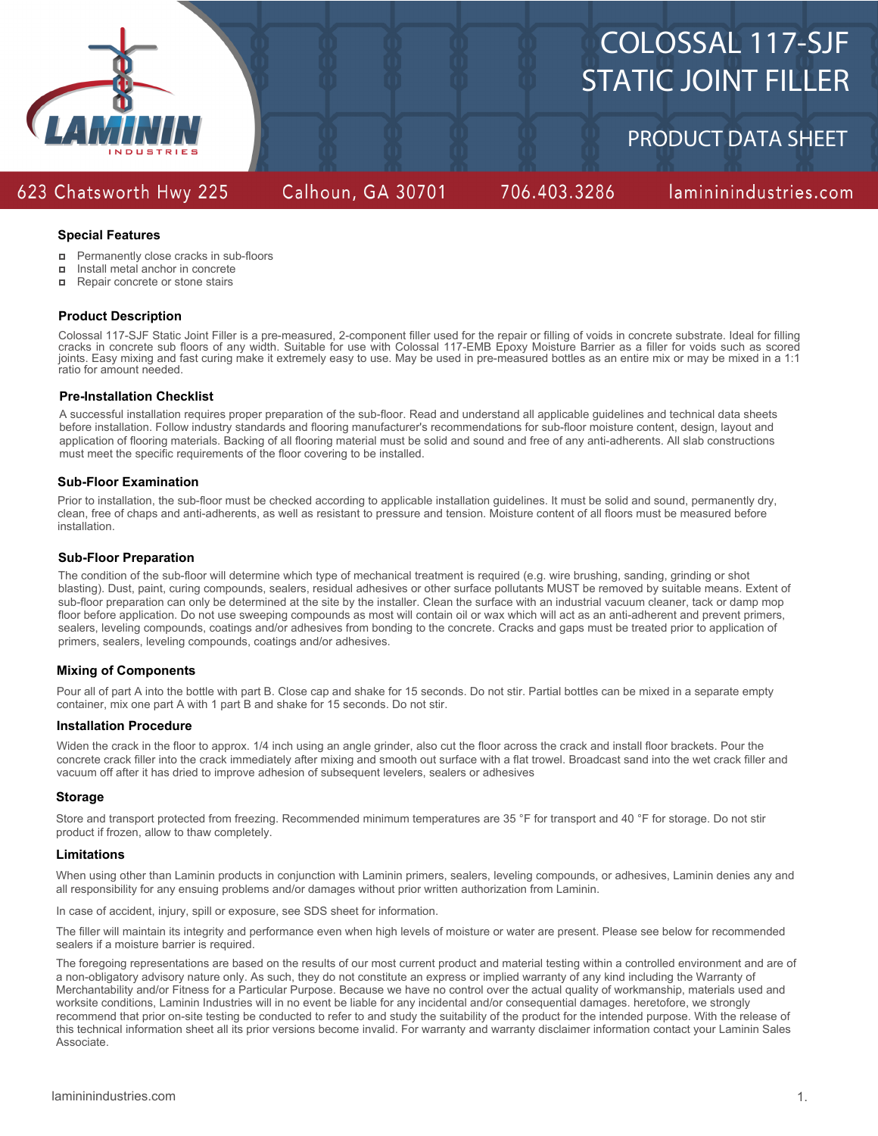

# COLOSSAL 117-SJF STATIC JOINT FILLER

PRODUCT DATA SHEET

### 623 Chatsworth Hwy 225

### Calhoun, GA 30701

706.403.3286

lamininindustries.com

### **Special Features**

- $\Box$ Permanently close cracks in sub-floors
- Install metal anchor in concrete  $\Box$
- $\blacksquare$ Repair concrete or stone stairs

### **Product Description**

Colossal 117-SJF Static Joint Filler is a pre-measured, 2-component filler used for the repair or filling of voids in concrete substrate. Ideal for filling cracks in concrete sub floors of any width. Suitable for use with Colossal 117-EMB Epoxy Moisture Barrier as a filler for voids such as scored joints. Easy mixing and fast curing make it extremely easy to use. May be used in pre-measured bottles as an entire mix or may be mixed in a 1:1 ratio for amount needed.

### **Pre-Installation Checklist**

A successful installation requires proper preparation of the sub-floor. Read and understand all applicable guidelines and technical data sheets before installation. Follow industry standards and flooring manufacturer's recommendations for sub-floor moisture content, design, layout and application of flooring materials. Backing of all flooring material must be solid and sound and free of any anti-adherents. All slab constructions must meet the specific requirements of the floor covering to be installed.

### **Sub-Floor Examination**

Prior to installation, the sub-floor must be checked according to applicable installation guidelines. It must be solid and sound, permanently dry, clean, free of chaps and anti-adherents, as well as resistant to pressure and tension. Moisture content of all floors must be measured before installation.

### **Sub-Floor Preparation**

The condition of the sub-floor will determine which type of mechanical treatment is required (e.g. wire brushing, sanding, grinding or shot blasting). Dust, paint, curing compounds, sealers, residual adhesives or other surface pollutants MUST be removed by suitable means. Extent of sub-floor preparation can only be determined at the site by the installer. Clean the surface with an industrial vacuum cleaner, tack or damp mop floor before application. Do not use sweeping compounds as most will contain oil or wax which will act as an anti-adherent and prevent primers, sealers, leveling compounds, coatings and/or adhesives from bonding to the concrete. Cracks and gaps must be treated prior to application of primers, sealers, leveling compounds, coatings and/or adhesives.

### **Mixing of Components**

Pour all of part A into the bottle with part B. Close cap and shake for 15 seconds. Do not stir. Partial bottles can be mixed in a separate empty container, mix one part A with 1 part B and shake for 15 seconds. Do not stir.

### **Installation Procedure**

Widen the crack in the floor to approx. 1/4 inch using an angle grinder, also cut the floor across the crack and install floor brackets. Pour the concrete crack filler into the crack immediately after mixing and smooth out surface with a flat trowel. Broadcast sand into the wet crack filler and vacuum off after it has dried to improve adhesion of subsequent levelers, sealers or adhesives

### **Storage**

Store and transport protected from freezing. Recommended minimum temperatures are 35 °F for transport and 40 °F for storage. Do not stir product if frozen, allow to thaw completely.

### **Limitations**

When using other than Laminin products in conjunction with Laminin primers, sealers, leveling compounds, or adhesives, Laminin denies any and all responsibility for any ensuing problems and/or damages without prior written authorization from Laminin.

In case of accident, injury, spill or exposure, see SDS sheet for information.

The filler will maintain its integrity and performance even when high levels of moisture or water are present. Please see below for recommended sealers if a moisture barrier is required.

The foregoing representations are based on the results of our most current product and material testing within a controlled environment and are of a non-obligatory advisory nature only. As such, they do not constitute an express or implied warranty of any kind including the Warranty of Merchantability and/or Fitness for a Particular Purpose. Because we have no control over the actual quality of workmanship, materials used and worksite conditions, Laminin Industries will in no event be liable for any incidental and/or consequential damages. heretofore, we strongly recommend that prior on-site testing be conducted to refer to and study the suitability of the product for the intended purpose. With the release of this technical information sheet all its prior versions become invalid. For warranty and warranty disclaimer information contact your Laminin Sales Associate.